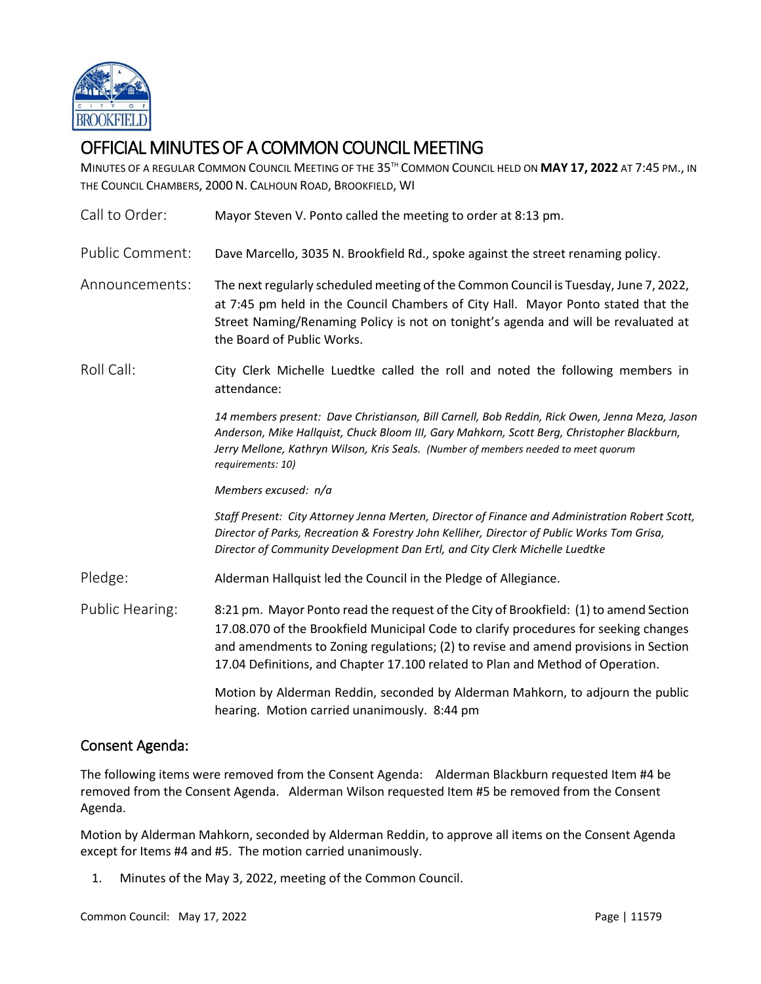

# OFFICIAL MINUTES OF A COMMON COUNCIL MEETING

MINUTES OF A REGULAR COMMON COUNCIL MEETING OF THE 35 TH COMMON COUNCIL HELD ON **MAY 17, 2022** AT 7:45 PM., IN THE COUNCIL CHAMBERS, 2000 N. CALHOUN ROAD, BROOKFIELD, WI

| Call to Order:         | Mayor Steven V. Ponto called the meeting to order at 8:13 pm.                                                                                                                                                                                                                                                                                          |
|------------------------|--------------------------------------------------------------------------------------------------------------------------------------------------------------------------------------------------------------------------------------------------------------------------------------------------------------------------------------------------------|
| <b>Public Comment:</b> | Dave Marcello, 3035 N. Brookfield Rd., spoke against the street renaming policy.                                                                                                                                                                                                                                                                       |
| Announcements:         | The next regularly scheduled meeting of the Common Council is Tuesday, June 7, 2022,<br>at 7:45 pm held in the Council Chambers of City Hall. Mayor Ponto stated that the<br>Street Naming/Renaming Policy is not on tonight's agenda and will be revaluated at<br>the Board of Public Works.                                                          |
| Roll Call:             | City Clerk Michelle Luedtke called the roll and noted the following members in<br>attendance:                                                                                                                                                                                                                                                          |
|                        | 14 members present: Dave Christianson, Bill Carnell, Bob Reddin, Rick Owen, Jenna Meza, Jason<br>Anderson, Mike Hallquist, Chuck Bloom III, Gary Mahkorn, Scott Berg, Christopher Blackburn,<br>Jerry Mellone, Kathryn Wilson, Kris Seals. (Number of members needed to meet quorum<br>requirements: 10)                                               |
|                        | Members excused: n/a                                                                                                                                                                                                                                                                                                                                   |
|                        | Staff Present: City Attorney Jenna Merten, Director of Finance and Administration Robert Scott,<br>Director of Parks, Recreation & Forestry John Kelliher, Director of Public Works Tom Grisa,<br>Director of Community Development Dan Ertl, and City Clerk Michelle Luedtke                                                                          |
| Pledge:                | Alderman Hallquist led the Council in the Pledge of Allegiance.                                                                                                                                                                                                                                                                                        |
| Public Hearing:        | 8:21 pm. Mayor Ponto read the request of the City of Brookfield: (1) to amend Section<br>17.08.070 of the Brookfield Municipal Code to clarify procedures for seeking changes<br>and amendments to Zoning regulations; (2) to revise and amend provisions in Section<br>17.04 Definitions, and Chapter 17.100 related to Plan and Method of Operation. |
|                        | Motion by Alderman Reddin, seconded by Alderman Mahkorn, to adjourn the public<br>hearing. Motion carried unanimously. 8:44 pm                                                                                                                                                                                                                         |

# Consent Agenda:

The following items were removed from the Consent Agenda: Alderman Blackburn requested Item #4 be removed from the Consent Agenda. Alderman Wilson requested Item #5 be removed from the Consent Agenda.

Motion by Alderman Mahkorn, seconded by Alderman Reddin, to approve all items on the Consent Agenda except for Items #4 and #5. The motion carried unanimously.

1. Minutes of the May 3, 2022, meeting of the Common Council.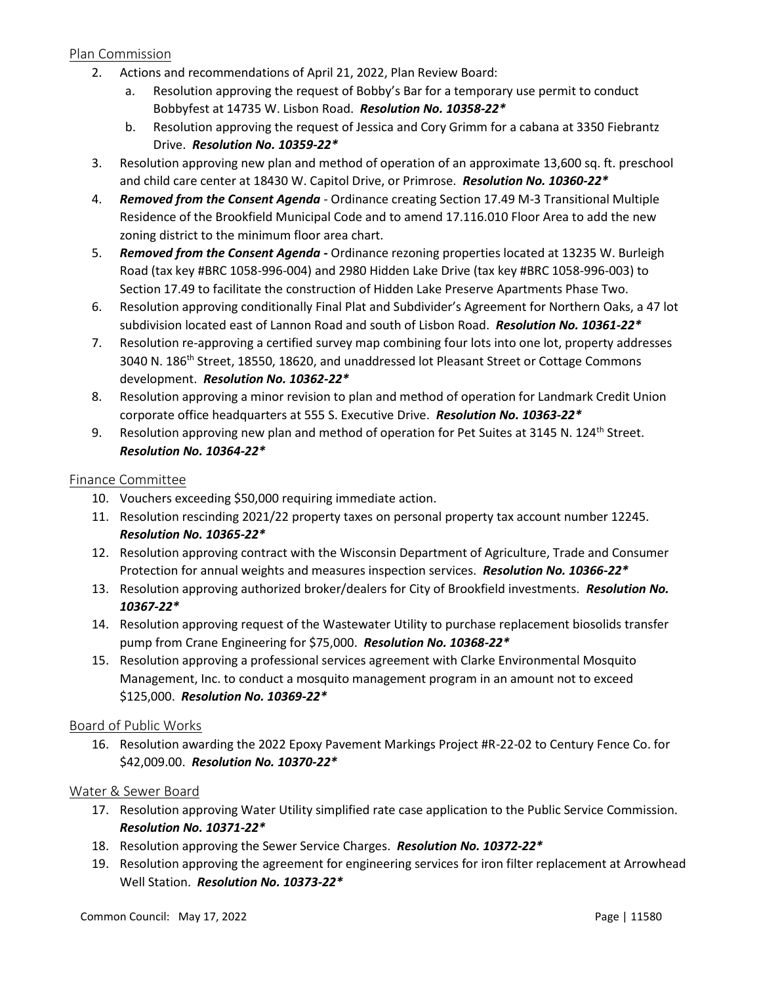# Plan Commission

- 2. Actions and recommendations of April 21, 2022, Plan Review Board:
	- a. Resolution approving the request of Bobby's Bar for a temporary use permit to conduct Bobbyfest at 14735 W. Lisbon Road. *Resolution No. 10358-22\**
	- b. Resolution approving the request of Jessica and Cory Grimm for a cabana at 3350 Fiebrantz Drive. *Resolution No. 10359-22\**
- 3. Resolution approving new plan and method of operation of an approximate 13,600 sq. ft. preschool and child care center at 18430 W. Capitol Drive, or Primrose. *Resolution No. 10360-22\**
- 4. *Removed from the Consent Agenda -* Ordinance creating Section 17.49 M-3 Transitional Multiple Residence of the Brookfield Municipal Code and to amend 17.116.010 Floor Area to add the new zoning district to the minimum floor area chart.
- 5. *Removed from the Consent Agenda -* Ordinance rezoning properties located at 13235 W. Burleigh Road (tax key #BRC 1058-996-004) and 2980 Hidden Lake Drive (tax key #BRC 1058-996-003) to Section 17.49 to facilitate the construction of Hidden Lake Preserve Apartments Phase Two.
- 6. Resolution approving conditionally Final Plat and Subdivider's Agreement for Northern Oaks, a 47 lot subdivision located east of Lannon Road and south of Lisbon Road. *Resolution No. 10361-22\**
- 7. Resolution re-approving a certified survey map combining four lots into one lot, property addresses 3040 N. 186<sup>th</sup> Street, 18550, 18620, and unaddressed lot Pleasant Street or Cottage Commons development. *Resolution No. 10362-22\**
- 8. Resolution approving a minor revision to plan and method of operation for Landmark Credit Union corporate office headquarters at 555 S. Executive Drive. *Resolution No. 10363-22\**
- 9. Resolution approving new plan and method of operation for Pet Suites at 3145 N. 124<sup>th</sup> Street. *Resolution No. 10364-22\**

#### Finance Committee

- 10. Vouchers exceeding \$50,000 requiring immediate action.
- 11. Resolution rescinding 2021/22 property taxes on personal property tax account number 12245. *Resolution No. 10365-22\**
- 12. Resolution approving contract with the Wisconsin Department of Agriculture, Trade and Consumer Protection for annual weights and measures inspection services. *Resolution No. 10366-22\**
- 13. Resolution approving authorized broker/dealers for City of Brookfield investments. *Resolution No. 10367-22\**
- 14. Resolution approving request of the Wastewater Utility to purchase replacement biosolids transfer pump from Crane Engineering for \$75,000. *Resolution No. 10368-22\**
- 15. Resolution approving a professional services agreement with Clarke Environmental Mosquito Management, Inc. to conduct a mosquito management program in an amount not to exceed \$125,000. *Resolution No. 10369-22\**

#### Board of Public Works

16. Resolution awarding the 2022 Epoxy Pavement Markings Project #R-22-02 to Century Fence Co. for \$42,009.00. *Resolution No. 10370-22\**

#### Water & Sewer Board

- 17. Resolution approving Water Utility simplified rate case application to the Public Service Commission. *Resolution No. 10371-22\**
- 18. Resolution approving the Sewer Service Charges. *Resolution No. 10372-22\**
- 19. Resolution approving the agreement for engineering services for iron filter replacement at Arrowhead Well Station. *Resolution No. 10373-22\**